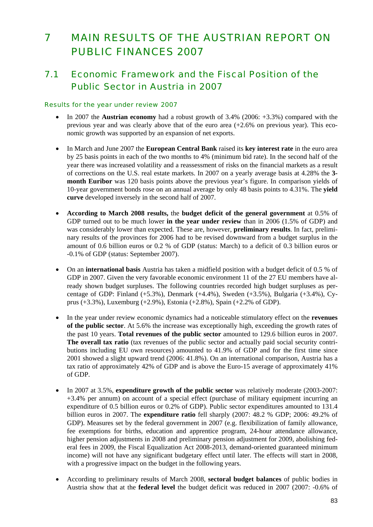# 7 MAIN RESULTS OF THE AUSTRIAN REPORT ON PUBLIC FINANCES 2007

# 7.1 Economic Framework and the Fiscal Position of the Public Sector in Austria in 2007

#### Results for the year under review 2007

- In 2007 the **Austrian economy** had a robust growth of 3.4% (2006: +3.3%) compared with the previous year and was clearly above that of the euro area  $(+2.6\%$  on previous year). This economic growth was supported by an expansion of net exports.
- In March and June 2007 the **European Central Bank** raised its **key interest rate** in the euro area by 25 basis points in each of the two months to 4% (minimum bid rate). In the second half of the year there was increased volatility and a reassessment of risks on the financial markets as a result of corrections on the U.S. real estate markets. In 2007 on a yearly average basis at 4.28% the **3 month Euribor** was 120 basis points above the previous year's figure. In comparison yields of 10-year government bonds rose on an annual average by only 48 basis points to 4.31%. The **yield curve** developed inversely in the second half of 2007.
- **According to March 2008 results,** the **budget deficit of the general government** at 0.5% of GDP turned out to be much lower **in the year under review** than in 2006 (1.5% of GDP) and was considerably lower than expected. These are, however, **preliminary results**. In fact, preliminary results of the provinces for 2006 had to be revised downward from a budget surplus in the amount of 0.6 billion euros or 0.2 % of GDP (status: March) to a deficit of 0.3 billion euros or -0.1% of GDP (status: September 2007).
- On an **international basis** Austria has taken a midfield position with a budget deficit of 0.5 % of GDP in 2007. Given the very favorable economic environment 11 of the 27 EU members have already shown budget surpluses. The following countries recorded high budget surpluses as percentage of GDP: Finland (+5.3%), Denmark (+4.4%), Sweden (+3.5%), Bulgaria (+3.4%), Cyprus (+3.3%), Luxemburg (+2.9%), Estonia (+2.8%), Spain (+2.2% of GDP).
- In the year under review economic dynamics had a noticeable stimulatory effect on the **revenues of the public sector**. At 5.6% the increase was exceptionally high, exceeding the growth rates of the past 10 years. **Total revenues of the public sector** amounted to 129.6 billion euros in 2007. **The overall tax ratio** (tax revenues of the public sector and actually paid social security contributions including EU own resources) amounted to 41.9% of GDP and for the first time since 2001 showed a slight upward trend (2006: 41.8%). On an international comparison, Austria has a tax ratio of approximately 42% of GDP and is above the Euro-15 average of approximately 41% of GDP.
- In 2007 at 3.5%, **expenditure growth of the public sector** was relatively moderate (2003-2007: +3.4% per annum) on account of a special effect (purchase of military equipment incurring an expenditure of 0.5 billion euros or 0.2% of GDP). Public sector expenditures amounted to 131.4 billion euros in 2007. The **expenditure ratio** fell sharply (2007: 48.2 % GDP; 2006: 49.2% of GDP). Measures set by the federal government in 2007 (e.g. flexibilization of family allowance, fee exemptions for births, education and apprentice program, 24-hour attendance allowance, higher pension adjustments in 2008 and preliminary pension adjustment for 2009, abolishing federal fees in 2009, the Fiscal Equalization Act 2008-2013, demand-oriented guaranteed minimum income) will not have any significant budgetary effect until later. The effects will start in 2008, with a progressive impact on the budget in the following years.
- According to preliminary results of March 2008, **sectoral budget balances** of public bodies in Austria show that at the **federal level** the budget deficit was reduced in 2007 (2007: -0.6% of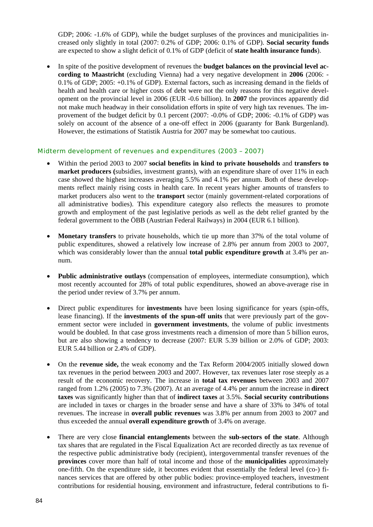GDP; 2006:  $-1.6\%$  of GDP), while the budget surpluses of the provinces and municipalities increased only slightly in total (2007: 0.2% of GDP; 2006: 0.1% of GDP). **Social security funds** are expected to show a slight deficit of 0.1% of GDP (deficit of **state health insurance funds**).

• In spite of the positive development of revenues the **budget balances on the provincial level according to Maastricht** (excluding Vienna) had a very negative development in **2006** (2006: - 0.1% of GDP; 2005: +0.1% of GDP). External factors, such as increasing demand in the fields of health and health care or higher costs of debt were not the only reasons for this negative development on the provincial level in 2006 (EUR -0.6 billion). In **2007** the provinces apparently did not make much headway in their consolidation efforts in spite of very high tax revenues. The improvement of the budget deficit by 0.1 percent (2007: -0.0% of GDP; 2006: -0.1% of GDP) was solely on account of the absence of a one-off effect in 2006 (guaranty for Bank Burgenland). However, the estimations of Statistik Austria for 2007 may be somewhat too cautious.

#### Midterm development of revenues and expenditures (2003 – 2007)

- Within the period 2003 to 2007 **social benefits in kind to private households** and **transfers to market producers** (subsidies, investment grants), with an expenditure share of over 11% in each case showed the highest increases averaging 5.5% and 4.1% per annum. Both of these developments reflect mainly rising costs in health care. In recent years higher amounts of transfers to market producers also went to the **transport** sector (mainly government-related corporations of all administrative bodies). This expenditure category also reflects the measures to promote growth and employment of the past legislative periods as well as the debt relief granted by the federal government to the ÖBB (Austrian Federal Railways) in 2004 (EUR 6.1 billion).
- **Monetary transfers** to private households, which tie up more than 37% of the total volume of public expenditures, showed a relatively low increase of 2.8% per annum from 2003 to 2007, which was considerably lower than the annual **total public expenditure growth** at 3.4% per annum.
- **Public administrative outlays** (compensation of employees, intermediate consumption), which most recently accounted for 28% of total public expenditures, showed an above-average rise in the period under review of 3.7% per annum.
- Direct public expenditures for **investments** have been losing significance for years (spin-offs, lease financing). If the **investments of the spun-off units** that were previously part of the government sector were included in **government investments**, the volume of public investments would be doubled. In that case gross investments reach a dimension of more than 5 billion euros, but are also showing a tendency to decrease (2007: EUR 5.39 billion or 2.0% of GDP; 2003: EUR 5.44 billion or 2.4% of GDP).
- On the **revenue side,** the weak economy and the Tax Reform 2004/2005 initially slowed down tax revenues in the period between 2003 and 2007. However, tax revenues later rose steeply as a result of the economic recovery. The increase in **total tax revenues** between 2003 and 2007 ranged from 1.2% (2005) to 7.3% (2007). At an average of 4.4% per annum the increase in **direct taxes** was significantly higher than that of **indirect taxes** at 3.5%. **Social security contributions** are included in taxes or charges in the broader sense and have a share of 33% to 34% of total revenues. The increase in **overall public revenues** was 3.8% per annum from 2003 to 2007 and thus exceeded the annual **overall expenditure growth** of 3.4% on average.
- There are very close **financial entanglements** between the **sub-sectors of the state**. Although tax shares that are regulated in the Fiscal Equalization Act are recorded directly as tax revenue of the respective public administrative body (recipient), intergovernmental transfer revenues of the **provinces** cover more than half of total income and those of the **municipalities** approximately one-fifth. On the expenditure side, it becomes evident that essentially the federal level (co-) finances services that are offered by other public bodies: province-employed teachers, investment contributions for residential housing, environment and infrastructure, federal contributions to fi-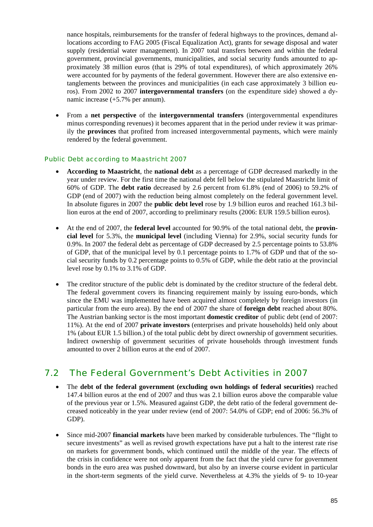nance hospitals, reimbursements for the transfer of federal highways to the provinces, demand allocations according to FAG 2005 (Fiscal Equalization Act), grants for sewage disposal and water supply (residential water management). In 2007 total transfers between and within the federal government, provincial governments, municipalities, and social security funds amounted to approximately 38 million euros (that is 29% of total expenditures), of which approximately 26% were accounted for by payments of the federal government. However there are also extensive entanglements between the provinces and municipalities (in each case approximately 3 billion euros). From 2002 to 2007 **intergovernmental transfers** (on the expenditure side) showed a dynamic increase (+5.7% per annum).

• From a **net perspective** of the **intergovernmental transfers** (intergovernmental expenditures minus corresponding revenues) it becomes apparent that in the period under review it was primarily the **provinces** that profited from increased intergovernmental payments, which were mainly rendered by the federal government.

#### Public Debt according to Maastricht 2007

- **According to Maastricht**, the **national debt** as a percentage of GDP decreased markedly in the year under review. For the first time the national debt fell below the stipulated Maastricht limit of 60% of GDP. The **debt ratio** decreased by 2.6 percent from 61.8% (end of 2006) to 59.2% of GDP (end of 2007) with the reduction being almost completely on the federal government level. In absolute figures in 2007 the **public debt level** rose by 1.9 billion euros and reached 161.3 billion euros at the end of 2007, according to preliminary results (2006: EUR 159.5 billion euros).
- At the end of 2007, the **federal level** accounted for 90.9% of the total national debt, the **provincial level** for 5.3%, the **municipal level** (including Vienna) for 2.9%, social security funds for 0.9%. In 2007 the federal debt as percentage of GDP decreased by 2.5 percentage points to 53.8% of GDP, that of the municipal level by 0.1 percentage points to 1.7% of GDP und that of the social security funds by 0.2 percentage points to 0.5% of GDP, while the debt ratio at the provincial level rose by 0.1% to 3.1% of GDP.
- The creditor structure of the public debt is dominated by the creditor structure of the federal debt. The federal government covers its financing requirement mainly by issuing euro-bonds, which since the EMU was implemented have been acquired almost completely by foreign investors (in particular from the euro area). By the end of 2007 the share of **foreign debt** reached about 80%. The Austrian banking sector is the most important **domestic creditor** of public debt (end of 2007: 11%). At the end of 2007 **private investors** (enterprises and private households) held only about 1% (about EUR 1.5 billion.) of the total public debt by direct ownership of government securities. Indirect ownership of government securities of private households through investment funds amounted to over 2 billion euros at the end of 2007.

### 7.2 The Federal Government's Debt Activities in 2007

- The **debt of the federal government (excluding own holdings of federal securities)** reached 147.4 billion euros at the end of 2007 and thus was 2.1 billion euros above the comparable value of the previous year or 1.5%. Measured against GDP, the debt ratio of the federal government decreased noticeably in the year under review (end of 2007: 54.0% of GDP; end of 2006: 56.3% of GDP).
- Since mid-2007 **financial markets** have been marked by considerable turbulences. The "flight to secure investments" as well as revised growth expectations have put a halt to the interest rate rise on markets for government bonds, which continued until the middle of the year. The effects of the crisis in confidence were not only apparent from the fact that the yield curve for government bonds in the euro area was pushed downward, but also by an inverse course evident in particular in the short-term segments of the yield curve. Nevertheless at 4.3% the yields of 9- to 10-year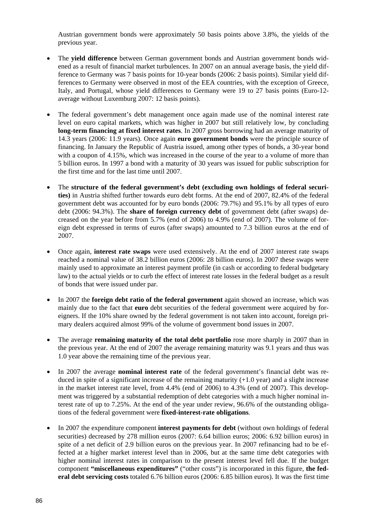Austrian government bonds were approximately 50 basis points above 3.8%, the yields of the previous year.

- The **yield difference** between German government bonds and Austrian government bonds widened as a result of financial market turbulences. In 2007 on an annual average basis, the yield difference to Germany was 7 basis points for 10-year bonds (2006: 2 basis points). Similar yield differences to Germany were observed in most of the EEA countries, with the exception of Greece, Italy, and Portugal, whose yield differences to Germany were 19 to 27 basis points (Euro-12 average without Luxemburg 2007: 12 basis points).
- The federal government's debt management once again made use of the nominal interest rate level on euro capital markets, which was higher in 2007 but still relatively low, by concluding **long-term financing at fixed interest rates**. In 2007 gross borrowing had an average maturity of 14.3 years (2006: 11.9 years). Once again **euro government bonds** were the principle source of financing. In January the Republic of Austria issued, among other types of bonds, a 30-year bond with a coupon of 4.15%, which was increased in the course of the year to a volume of more than 5 billion euros. In 1997 a bond with a maturity of 30 years was issued for public subscription for the first time and for the last time until 2007.
- The **structure of the federal government's debt (excluding own holdings of federal securities)** in Austria shifted further towards euro debt forms. At the end of 2007, 82.4% of the federal government debt was accounted for by euro bonds (2006: 79.7%) and 95.1% by all types of euro debt (2006: 94.3%). The **share of foreign currency debt** of government debt (after swaps) decreased on the year before from 5.7% (end of 2006) to 4.9% (end of 2007). The volume of foreign debt expressed in terms of euros (after swaps) amounted to 7.3 billion euros at the end of 2007.
- Once again, **interest rate swaps** were used extensively. At the end of 2007 interest rate swaps reached a nominal value of 38.2 billion euros (2006: 28 billion euros). In 2007 these swaps were mainly used to approximate an interest payment profile (in cash or according to federal budgetary law) to the actual yields or to curb the effect of interest rate losses in the federal budget as a result of bonds that were issued under par.
- In 2007 the **foreign debt ratio of the federal government** again showed an increase, which was mainly due to the fact that **euro** debt securities of the federal government were acquired by foreigners. If the 10% share owned by the federal government is not taken into account, foreign primary dealers acquired almost 99% of the volume of government bond issues in 2007.
- The average **remaining maturity of the total debt portfolio** rose more sharply in 2007 than in the previous year. At the end of 2007 the average remaining maturity was 9.1 years and thus was 1.0 year above the remaining time of the previous year.
- In 2007 the average **nominal interest rate** of the federal government's financial debt was reduced in spite of a significant increase of the remaining maturity (+1.0 year) and a slight increase in the market interest rate level, from 4.4% (end of 2006) to 4.3% (end of 2007). This development was triggered by a substantial redemption of debt categories with a much higher nominal interest rate of up to 7.25%. At the end of the year under review, 96.6% of the outstanding obligations of the federal government were **fixed-interest-rate obligations**.
- In 2007 the expenditure component **interest payments for debt** (without own holdings of federal securities) decreased by 278 million euros (2007: 6.64 billion euros; 2006: 6.92 billion euros) in spite of a net deficit of 2.9 billion euros on the previous year. In 2007 refinancing had to be effected at a higher market interest level than in 2006, but at the same time debt categories with higher nominal interest rates in comparison to the present interest level fell due. If the budget component **"miscellaneous expenditures"** ("other costs") is incorporated in this figure, **the federal debt servicing costs** totaled 6.76 billion euros (2006: 6.85 billion euros). It was the first time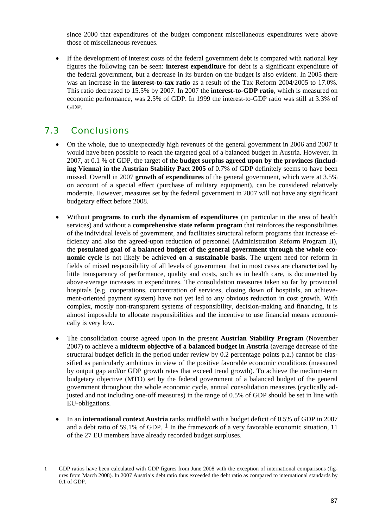since 2000 that expenditures of the budget component miscellaneous expenditures were above those of miscellaneous revenues.

If the development of interest costs of the federal government debt is compared with national key figures the following can be seen: **interest expenditure** for debt is a significant expenditure of the federal government, but a decrease in its burden on the budget is also evident. In 2005 there was an increase in the **interest-to-tax ratio** as a result of the Tax Reform 2004/2005 to 17.0%. This ratio decreased to 15.5% by 2007. In 2007 the **interest-to-GDP ratio**, which is measured on economic performance, was 2.5% of GDP. In 1999 the interest-to-GDP ratio was still at 3.3% of GDP.

## 7.3 Conclusions

 $\overline{a}$ 

- On the whole, due to unexpectedly high revenues of the general government in 2006 and 2007 it would have been possible to reach the targeted goal of a balanced budget in Austria. However, in 2007, at 0.1 % of GDP, the target of the **budget surplus agreed upon by the provinces (including Vienna) in the Austrian Stability Pact 2005** of 0.7% of GDP definitely seems to have been missed. Overall in 2007 **growth of expenditures** of the general government, which were at 3.5% on account of a special effect (purchase of military equipment), can be considered relatively moderate. However, measures set by the federal government in 2007 will not have any significant budgetary effect before 2008.
- Without **programs to curb the dynamism of expenditures** (in particular in the area of health services) and without a **comprehensive state reform program** that reinforces the responsibilities of the individual levels of government, and facilitates structural reform programs that increase efficiency and also the agreed-upon reduction of personnel (Administration Reform Program II), the **postulated goal of a balanced budget of the general government through the whole economic cycle** is not likely be achieved **on a sustainable basis**. The urgent need for reform in fields of mixed responsibility of all levels of government that in most cases are characterized by little transparency of performance, quality and costs, such as in health care, is documented by above-average increases in expenditures. The consolidation measures taken so far by provincial hospitals (e.g. cooperations, concentration of services, closing down of hospitals, an achievement-oriented payment system) have not yet led to any obvious reduction in cost growth. With complex, mostly non-transparent systems of responsibility, decision-making and financing, it is almost impossible to allocate responsibilities and the incentive to use financial means economically is very low.
- The consolidation course agreed upon in the present **Austrian Stability Program** (November 2007) to achieve a **midterm objective of a balanced budget in Austria** (average decrease of the structural budget deficit in the period under review by 0.2 percentage points p.a.) cannot be classified as particularly ambitious in view of the positive favorable economic conditions (measured by output gap and/or GDP growth rates that exceed trend growth). To achieve the medium-term budgetary objective (MTO) set by the federal government of a balanced budget of the general government throughout the whole economic cycle, annual consolidation measures (cyclically adjusted and not including one-off measures) in the range of 0.5% of GDP should be set in line with EU-obligations.
- In an **international context Austria** ranks midfield with a budget deficit of 0.5% of GDP in 2007 and a debt ratio of 59.[1](#page-4-0)% of GDP.  $<sup>1</sup>$  In the framework of a very favorable economic situation, 11</sup> of the 27 EU members have already recorded budget surpluses.

<span id="page-4-0"></span><sup>1</sup> GDP ratios have been calculated with GDP figures from June 2008 with the exception of international comparisons (figures from March 2008). In 2007 Austria's debt ratio thus exceeded the debt ratio as compared to international standards by 0.1 of GDP.